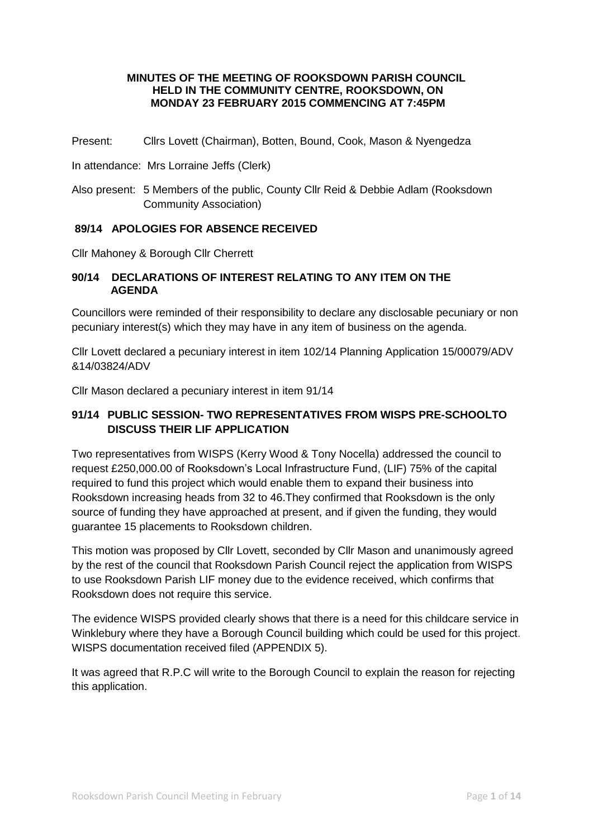#### **MINUTES OF THE MEETING OF ROOKSDOWN PARISH COUNCIL HELD IN THE COMMUNITY CENTRE, ROOKSDOWN, ON MONDAY 23 FEBRUARY 2015 COMMENCING AT 7:45PM**

Present: Cllrs Lovett (Chairman), Botten, Bound, Cook, Mason & Nyengedza

In attendance: Mrs Lorraine Jeffs (Clerk)

Also present: 5 Members of the public, County Cllr Reid & Debbie Adlam (Rooksdown Community Association)

### **89/14 APOLOGIES FOR ABSENCE RECEIVED**

Cllr Mahoney & Borough Cllr Cherrett

### **90/14 DECLARATIONS OF INTEREST RELATING TO ANY ITEM ON THE AGENDA**

Councillors were reminded of their responsibility to declare any disclosable pecuniary or non pecuniary interest(s) which they may have in any item of business on the agenda.

Cllr Lovett declared a pecuniary interest in item 102/14 Planning Application 15/00079/ADV &14/03824/ADV

Cllr Mason declared a pecuniary interest in item 91/14

# **91/14 PUBLIC SESSION- TWO REPRESENTATIVES FROM WISPS PRE-SCHOOLTO DISCUSS THEIR LIF APPLICATION**

Two representatives from WISPS (Kerry Wood & Tony Nocella) addressed the council to request £250,000.00 of Rooksdown's Local Infrastructure Fund, (LIF) 75% of the capital required to fund this project which would enable them to expand their business into Rooksdown increasing heads from 32 to 46.They confirmed that Rooksdown is the only source of funding they have approached at present, and if given the funding, they would guarantee 15 placements to Rooksdown children.

This motion was proposed by Cllr Lovett, seconded by Cllr Mason and unanimously agreed by the rest of the council that Rooksdown Parish Council reject the application from WISPS to use Rooksdown Parish LIF money due to the evidence received, which confirms that Rooksdown does not require this service.

The evidence WISPS provided clearly shows that there is a need for this childcare service in Winklebury where they have a Borough Council building which could be used for this project. WISPS documentation received filed (APPENDIX 5).

It was agreed that R.P.C will write to the Borough Council to explain the reason for rejecting this application.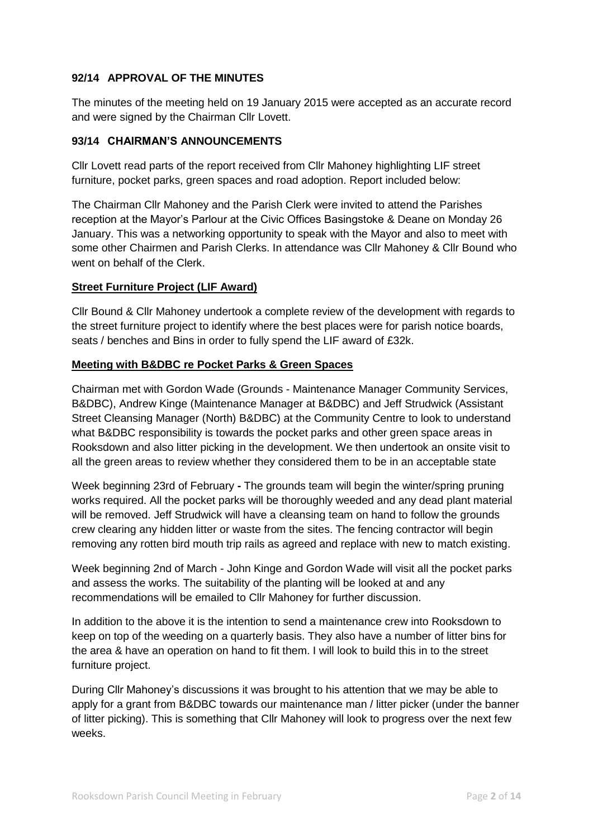# **92/14 APPROVAL OF THE MINUTES**

The minutes of the meeting held on 19 January 2015 were accepted as an accurate record and were signed by the Chairman Cllr Lovett.

### **93/14 CHAIRMAN'S ANNOUNCEMENTS**

Cllr Lovett read parts of the report received from Cllr Mahoney highlighting LIF street furniture, pocket parks, green spaces and road adoption. Report included below:

The Chairman Cllr Mahoney and the Parish Clerk were invited to attend the Parishes reception at the Mayor's Parlour at the Civic Offices Basingstoke & Deane on Monday 26 January. This was a networking opportunity to speak with the Mayor and also to meet with some other Chairmen and Parish Clerks. In attendance was Cllr Mahoney & Cllr Bound who went on behalf of the Clerk.

# **Street Furniture Project (LIF Award)**

Cllr Bound & Cllr Mahoney undertook a complete review of the development with regards to the street furniture project to identify where the best places were for parish notice boards, seats / benches and Bins in order to fully spend the LIF award of £32k.

### **Meeting with B&DBC re Pocket Parks & Green Spaces**

Chairman met with Gordon Wade (Grounds - Maintenance Manager Community Services, B&DBC), Andrew Kinge (Maintenance Manager at B&DBC) and Jeff Strudwick (Assistant Street Cleansing Manager (North) B&DBC) at the Community Centre to look to understand what B&DBC responsibility is towards the pocket parks and other green space areas in Rooksdown and also litter picking in the development. We then undertook an onsite visit to all the green areas to review whether they considered them to be in an acceptable state

Week beginning 23rd of February **-** The grounds team will begin the winter/spring pruning works required. All the pocket parks will be thoroughly weeded and any dead plant material will be removed. Jeff Strudwick will have a cleansing team on hand to follow the grounds crew clearing any hidden litter or waste from the sites. The fencing contractor will begin removing any rotten bird mouth trip rails as agreed and replace with new to match existing.

Week beginning 2nd of March - John Kinge and Gordon Wade will visit all the pocket parks and assess the works. The suitability of the planting will be looked at and any recommendations will be emailed to Cllr Mahoney for further discussion.

In addition to the above it is the intention to send a maintenance crew into Rooksdown to keep on top of the weeding on a quarterly basis. They also have a number of litter bins for the area & have an operation on hand to fit them. I will look to build this in to the street furniture project.

During Cllr Mahoney's discussions it was brought to his attention that we may be able to apply for a grant from B&DBC towards our maintenance man / litter picker (under the banner of litter picking). This is something that Cllr Mahoney will look to progress over the next few weeks.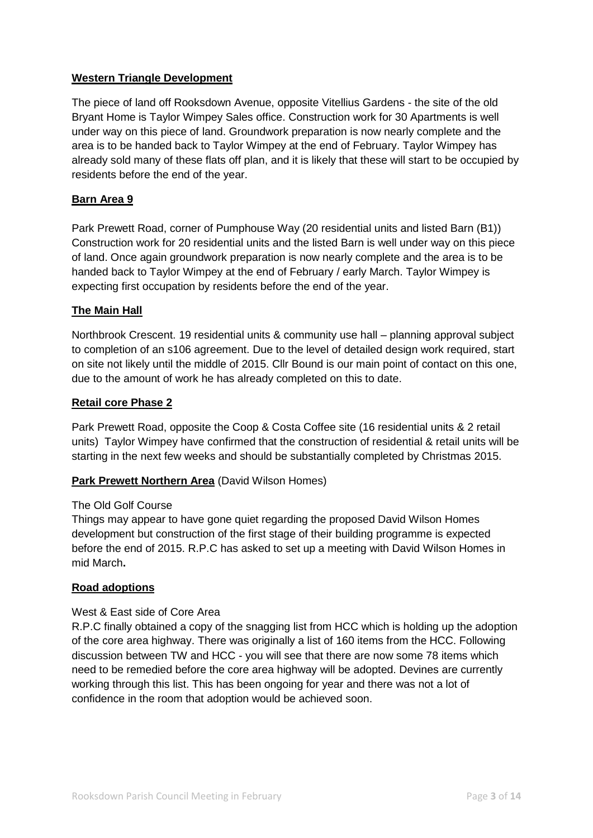# **Western Triangle Development**

The piece of land off Rooksdown Avenue, opposite Vitellius Gardens - the site of the old Bryant Home is Taylor Wimpey Sales office. Construction work for 30 Apartments is well under way on this piece of land. Groundwork preparation is now nearly complete and the area is to be handed back to Taylor Wimpey at the end of February. Taylor Wimpey has already sold many of these flats off plan, and it is likely that these will start to be occupied by residents before the end of the year.

# **Barn Area 9**

Park Prewett Road, corner of Pumphouse Way (20 residential units and listed Barn (B1)) Construction work for 20 residential units and the listed Barn is well under way on this piece of land. Once again groundwork preparation is now nearly complete and the area is to be handed back to Taylor Wimpey at the end of February / early March. Taylor Wimpey is expecting first occupation by residents before the end of the year.

### **The Main Hall**

Northbrook Crescent. 19 residential units & community use hall – planning approval subject to completion of an s106 agreement. Due to the level of detailed design work required, start on site not likely until the middle of 2015. Cllr Bound is our main point of contact on this one, due to the amount of work he has already completed on this to date.

### **Retail core Phase 2**

Park Prewett Road, opposite the Coop & Costa Coffee site (16 residential units & 2 retail units) Taylor Wimpey have confirmed that the construction of residential & retail units will be starting in the next few weeks and should be substantially completed by Christmas 2015.

### **Park Prewett Northern Area** (David Wilson Homes)

### The Old Golf Course

Things may appear to have gone quiet regarding the proposed David Wilson Homes development but construction of the first stage of their building programme is expected before the end of 2015. R.P.C has asked to set up a meeting with David Wilson Homes in mid March**.** 

### **Road adoptions**

#### West & East side of Core Area

R.P.C finally obtained a copy of the snagging list from HCC which is holding up the adoption of the core area highway. There was originally a list of 160 items from the HCC. Following discussion between TW and HCC - you will see that there are now some 78 items which need to be remedied before the core area highway will be adopted. Devines are currently working through this list. This has been ongoing for year and there was not a lot of confidence in the room that adoption would be achieved soon.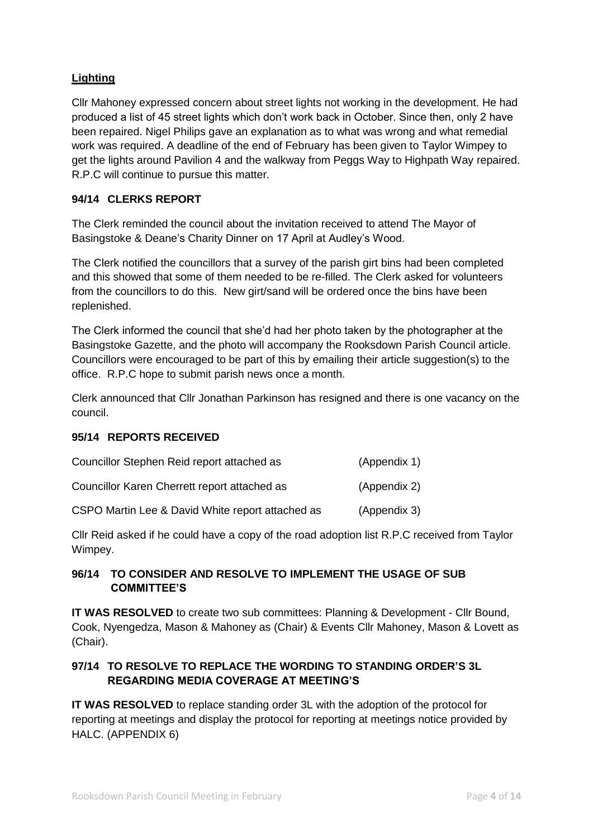# **Lighting**

Cllr Mahoney expressed concern about street lights not working in the development. He had produced a list of 45 street lights which don't work back in October. Since then, only 2 have been repaired. Nigel Philips gave an explanation as to what was wrong and what remedial work was required. A deadline of the end of February has been given to Taylor Wimpey to get the lights around Pavilion 4 and the walkway from Peggs Way to Highpath Way repaired. R.P.C will continue to pursue this matter.

# **94/14 CLERKS REPORT**

The Clerk reminded the council about the invitation received to attend The Mayor of Basingstoke & Deane's Charity Dinner on 17 April at Audley's Wood.

The Clerk notified the councillors that a survey of the parish girt bins had been completed and this showed that some of them needed to be re-filled. The Clerk asked for volunteers from the councillors to do this. New girt/sand will be ordered once the bins have been replenished.

The Clerk informed the council that she'd had her photo taken by the photographer at the Basingstoke Gazette, and the photo will accompany the Rooksdown Parish Council article. Councillors were encouraged to be part of this by emailing their article suggestion(s) to the office. R.P.C hope to submit parish news once a month.

Clerk announced that Cllr Jonathan Parkinson has resigned and there is one vacancy on the council.

### **95/14 REPORTS RECEIVED**

| Councillor Stephen Reid report attached as       | (Appendix 1) |
|--------------------------------------------------|--------------|
| Councillor Karen Cherrett report attached as     | (Appendix 2) |
| CSPO Martin Lee & David White report attached as | (Appendix 3) |

Cllr Reid asked if he could have a copy of the road adoption list R.P.C received from Taylor Wimpey.

# **96/14 TO CONSIDER AND RESOLVE TO IMPLEMENT THE USAGE OF SUB COMMITTEE'S**

**IT WAS RESOLVED** to create two sub committees: Planning & Development - Cllr Bound, Cook, Nyengedza, Mason & Mahoney as (Chair) & Events Cllr Mahoney, Mason & Lovett as (Chair).

# **97/14 TO RESOLVE TO REPLACE THE WORDING TO STANDING ORDER'S 3L REGARDING MEDIA COVERAGE AT MEETING'S**

**IT WAS RESOLVED** to replace standing order 3L with the adoption of the protocol for reporting at meetings and display the protocol for reporting at meetings notice provided by HALC. (APPENDIX 6)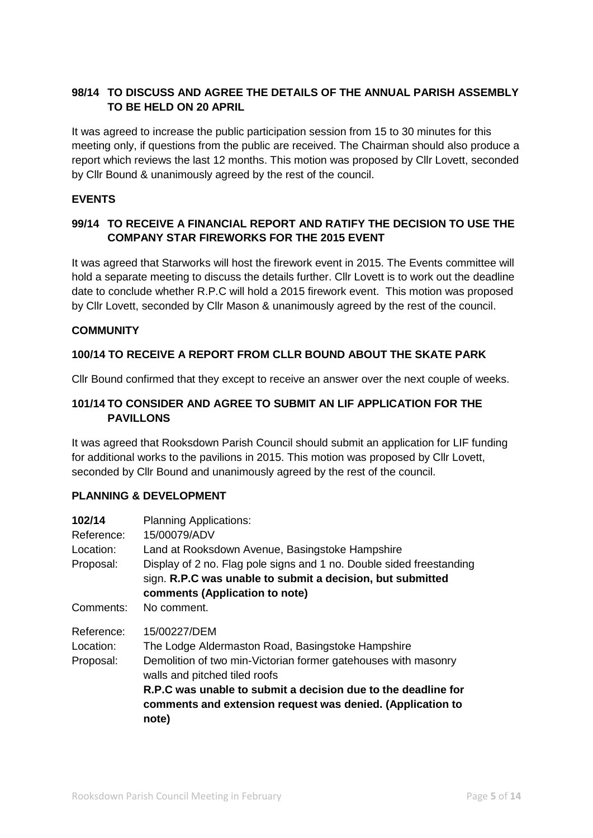# **98/14 TO DISCUSS AND AGREE THE DETAILS OF THE ANNUAL PARISH ASSEMBLY TO BE HELD ON 20 APRIL**

It was agreed to increase the public participation session from 15 to 30 minutes for this meeting only, if questions from the public are received. The Chairman should also produce a report which reviews the last 12 months. This motion was proposed by Cllr Lovett, seconded by Cllr Bound & unanimously agreed by the rest of the council.

# **EVENTS**

# **99/14 TO RECEIVE A FINANCIAL REPORT AND RATIFY THE DECISION TO USE THE COMPANY STAR FIREWORKS FOR THE 2015 EVENT**

It was agreed that Starworks will host the firework event in 2015. The Events committee will hold a separate meeting to discuss the details further. Cllr Lovett is to work out the deadline date to conclude whether R.P.C will hold a 2015 firework event. This motion was proposed by Cllr Lovett, seconded by Cllr Mason & unanimously agreed by the rest of the council.

### **COMMUNITY**

# **100/14 TO RECEIVE A REPORT FROM CLLR BOUND ABOUT THE SKATE PARK**

Cllr Bound confirmed that they except to receive an answer over the next couple of weeks.

# **101/14 TO CONSIDER AND AGREE TO SUBMIT AN LIF APPLICATION FOR THE PAVILLONS**

It was agreed that Rooksdown Parish Council should submit an application for LIF funding for additional works to the pavilions in 2015. This motion was proposed by Cllr Lovett, seconded by Cllr Bound and unanimously agreed by the rest of the council.

### **PLANNING & DEVELOPMENT**

| 102/14     | <b>Planning Applications:</b>                                                                                                                                        |  |  |
|------------|----------------------------------------------------------------------------------------------------------------------------------------------------------------------|--|--|
| Reference: | 15/00079/ADV                                                                                                                                                         |  |  |
| Location:  | Land at Rooksdown Avenue, Basingstoke Hampshire                                                                                                                      |  |  |
| Proposal:  | Display of 2 no. Flag pole signs and 1 no. Double sided freestanding<br>sign. R.P.C was unable to submit a decision, but submitted<br>comments (Application to note) |  |  |
| Comments:  | No comment.                                                                                                                                                          |  |  |
| Reference: | 15/00227/DEM                                                                                                                                                         |  |  |
| Location:  | The Lodge Aldermaston Road, Basingstoke Hampshire                                                                                                                    |  |  |
| Proposal:  | Demolition of two min-Victorian former gatehouses with masonry<br>walls and pitched tiled roofs                                                                      |  |  |
|            | R.P.C was unable to submit a decision due to the deadline for<br>comments and extension request was denied. (Application to<br>note)                                 |  |  |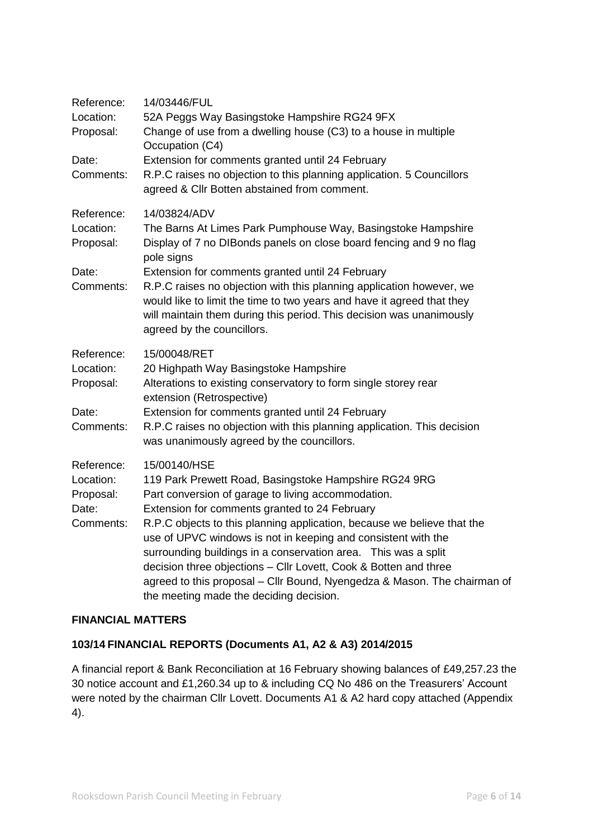| Reference:<br>Location:<br>Proposal:<br>Date:<br>Comments: | 14/03446/FUL<br>52A Peggs Way Basingstoke Hampshire RG24 9FX<br>Change of use from a dwelling house (C3) to a house in multiple<br>Occupation (C4)<br>Extension for comments granted until 24 February<br>R.P.C raises no objection to this planning application. 5 Councillors<br>agreed & Cllr Botten abstained from comment.                                                                                                                                                                                                                                                       |
|------------------------------------------------------------|---------------------------------------------------------------------------------------------------------------------------------------------------------------------------------------------------------------------------------------------------------------------------------------------------------------------------------------------------------------------------------------------------------------------------------------------------------------------------------------------------------------------------------------------------------------------------------------|
| Reference:<br>Location:<br>Proposal:<br>Date:<br>Comments: | 14/03824/ADV<br>The Barns At Limes Park Pumphouse Way, Basingstoke Hampshire<br>Display of 7 no DIBonds panels on close board fencing and 9 no flag<br>pole signs<br>Extension for comments granted until 24 February<br>R.P.C raises no objection with this planning application however, we<br>would like to limit the time to two years and have it agreed that they<br>will maintain them during this period. This decision was unanimously<br>agreed by the councillors.                                                                                                         |
| Reference:<br>Location:<br>Proposal:<br>Date:<br>Comments: | 15/00048/RET<br>20 Highpath Way Basingstoke Hampshire<br>Alterations to existing conservatory to form single storey rear<br>extension (Retrospective)<br>Extension for comments granted until 24 February<br>R.P.C raises no objection with this planning application. This decision<br>was unanimously agreed by the councillors.                                                                                                                                                                                                                                                    |
| Reference:<br>Location:<br>Proposal:<br>Date:<br>Comments: | 15/00140/HSE<br>119 Park Prewett Road, Basingstoke Hampshire RG24 9RG<br>Part conversion of garage to living accommodation.<br>Extension for comments granted to 24 February<br>R.P.C objects to this planning application, because we believe that the<br>use of UPVC windows is not in keeping and consistent with the<br>surrounding buildings in a conservation area. This was a split<br>decision three objections - Cllr Lovett, Cook & Botten and three<br>agreed to this proposal - Cllr Bound, Nyengedza & Mason. The chairman of<br>the meeting made the deciding decision. |

# **FINANCIAL MATTERS**

# **103/14 FINANCIAL REPORTS (Documents A1, A2 & A3) 2014/2015**

A financial report & Bank Reconciliation at 16 February showing balances of £49,257.23 the 30 notice account and £1,260.34 up to & including CQ No 486 on the Treasurers' Account were noted by the chairman Cllr Lovett. Documents A1 & A2 hard copy attached (Appendix 4).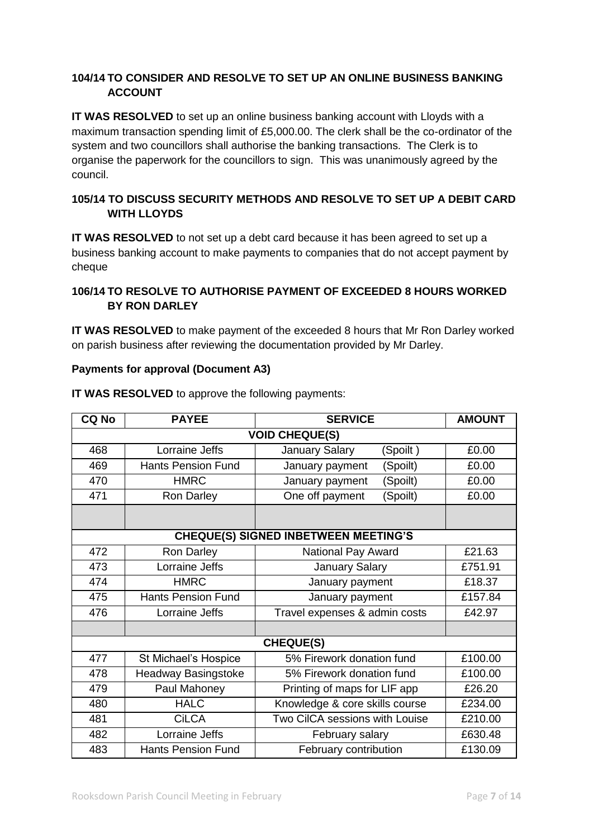# **104/14 TO CONSIDER AND RESOLVE TO SET UP AN ONLINE BUSINESS BANKING ACCOUNT**

**IT WAS RESOLVED** to set up an online business banking account with Lloyds with a maximum transaction spending limit of £5,000.00. The clerk shall be the co-ordinator of the system and two councillors shall authorise the banking transactions. The Clerk is to organise the paperwork for the councillors to sign. This was unanimously agreed by the council.

# **105/14 TO DISCUSS SECURITY METHODS AND RESOLVE TO SET UP A DEBIT CARD WITH LLOYDS**

**IT WAS RESOLVED** to not set up a debt card because it has been agreed to set up a business banking account to make payments to companies that do not accept payment by cheque

# **106/14 TO RESOLVE TO AUTHORISE PAYMENT OF EXCEEDED 8 HOURS WORKED BY RON DARLEY**

**IT WAS RESOLVED** to make payment of the exceeded 8 hours that Mr Ron Darley worked on parish business after reviewing the documentation provided by Mr Darley.

### **Payments for approval (Document A3)**

| <b>CQ No</b>          | <b>PAYEE</b>              | <b>SERVICE</b>                              | <b>AMOUNT</b> |  |
|-----------------------|---------------------------|---------------------------------------------|---------------|--|
| <b>VOID CHEQUE(S)</b> |                           |                                             |               |  |
| 468                   | Lorraine Jeffs            | <b>January Salary</b><br>(Spoilt)           | £0.00         |  |
| 469                   | <b>Hants Pension Fund</b> | January payment<br>(Spoilt)                 | £0.00         |  |
| 470                   | <b>HMRC</b>               | (Spoilt)<br>January payment                 | £0.00         |  |
| 471                   | Ron Darley                | One off payment<br>(Spoilt)                 | £0.00         |  |
|                       |                           |                                             |               |  |
|                       |                           | <b>CHEQUE(S) SIGNED INBETWEEN MEETING'S</b> |               |  |
| 472                   | Ron Darley                | National Pay Award                          | £21.63        |  |
| 473                   | Lorraine Jeffs            | <b>January Salary</b>                       | £751.91       |  |
| 474                   | <b>HMRC</b>               | January payment                             | £18.37        |  |
| 475                   | <b>Hants Pension Fund</b> | January payment                             | £157.84       |  |
| 476                   | Lorraine Jeffs            | Travel expenses & admin costs               | £42.97        |  |
|                       |                           |                                             |               |  |
| <b>CHEQUE(S)</b>      |                           |                                             |               |  |
| 477                   | St Michael's Hospice      | 5% Firework donation fund                   | £100.00       |  |
| 478                   | Headway Basingstoke       | 5% Firework donation fund                   | £100.00       |  |
| 479                   | Paul Mahoney              | Printing of maps for LIF app                | £26.20        |  |
| 480                   | <b>HALC</b>               | Knowledge & core skills course              | £234.00       |  |
| 481                   | <b>CiLCA</b>              | Two CilCA sessions with Louise              | £210.00       |  |
| 482                   | Lorraine Jeffs            | February salary                             | £630.48       |  |
| 483                   | <b>Hants Pension Fund</b> | February contribution                       | £130.09       |  |

**IT WAS RESOLVED** to approve the following payments: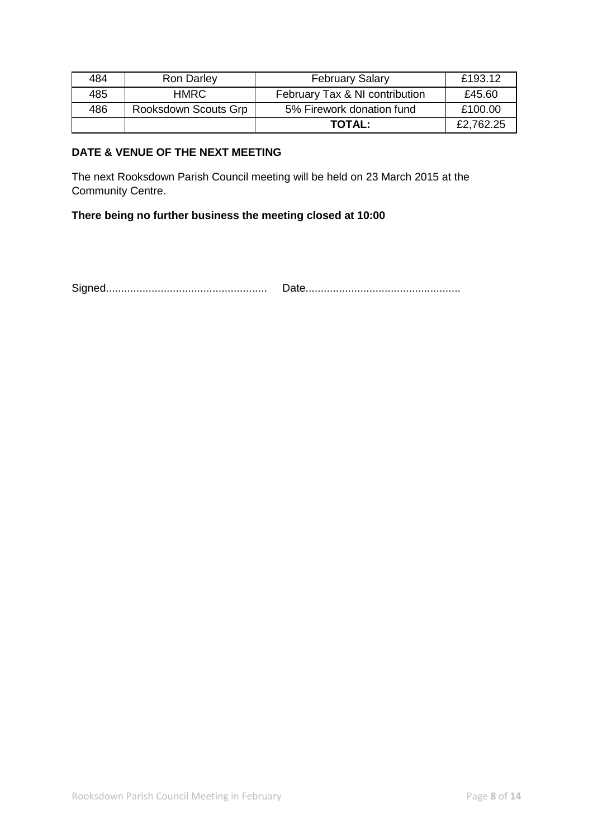| 484 | <b>Ron Darley</b>    | <b>February Salary</b>         | £193.12   |
|-----|----------------------|--------------------------------|-----------|
| 485 | HMRC                 | February Tax & NI contribution | £45.60    |
| 486 | Rooksdown Scouts Grp | 5% Firework donation fund      | £100.00   |
|     |                      | <b>TOTAL:</b>                  | £2,762.25 |

# **DATE & VENUE OF THE NEXT MEETING**

The next Rooksdown Parish Council meeting will be held on 23 March 2015 at the Community Centre.

# **There being no further business the meeting closed at 10:00**

Signed..................................................... Date...................................................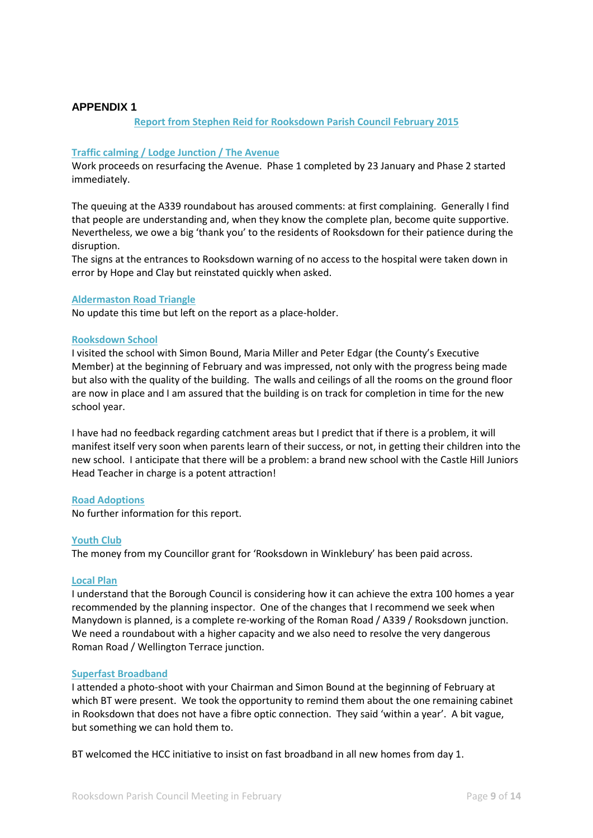#### **APPENDIX 1**

#### **Report from Stephen Reid for Rooksdown Parish Council February 2015**

#### **Traffic calming / Lodge Junction / The Avenue**

Work proceeds on resurfacing the Avenue. Phase 1 completed by 23 January and Phase 2 started immediately.

The queuing at the A339 roundabout has aroused comments: at first complaining. Generally I find that people are understanding and, when they know the complete plan, become quite supportive. Nevertheless, we owe a big 'thank you' to the residents of Rooksdown for their patience during the disruption.

The signs at the entrances to Rooksdown warning of no access to the hospital were taken down in error by Hope and Clay but reinstated quickly when asked.

#### **Aldermaston Road Triangle**

No update this time but left on the report as a place-holder.

#### **Rooksdown School**

I visited the school with Simon Bound, Maria Miller and Peter Edgar (the County's Executive Member) at the beginning of February and was impressed, not only with the progress being made but also with the quality of the building. The walls and ceilings of all the rooms on the ground floor are now in place and I am assured that the building is on track for completion in time for the new school year.

I have had no feedback regarding catchment areas but I predict that if there is a problem, it will manifest itself very soon when parents learn of their success, or not, in getting their children into the new school. I anticipate that there will be a problem: a brand new school with the Castle Hill Juniors Head Teacher in charge is a potent attraction!

#### **Road Adoptions**

No further information for this report.

#### **Youth Club**

The money from my Councillor grant for 'Rooksdown in Winklebury' has been paid across.

#### **Local Plan**

I understand that the Borough Council is considering how it can achieve the extra 100 homes a year recommended by the planning inspector. One of the changes that I recommend we seek when Manydown is planned, is a complete re-working of the Roman Road / A339 / Rooksdown junction. We need a roundabout with a higher capacity and we also need to resolve the very dangerous Roman Road / Wellington Terrace junction.

#### **Superfast Broadband**

I attended a photo-shoot with your Chairman and Simon Bound at the beginning of February at which BT were present. We took the opportunity to remind them about the one remaining cabinet in Rooksdown that does not have a fibre optic connection. They said 'within a year'. A bit vague, but something we can hold them to.

BT welcomed the HCC initiative to insist on fast broadband in all new homes from day 1.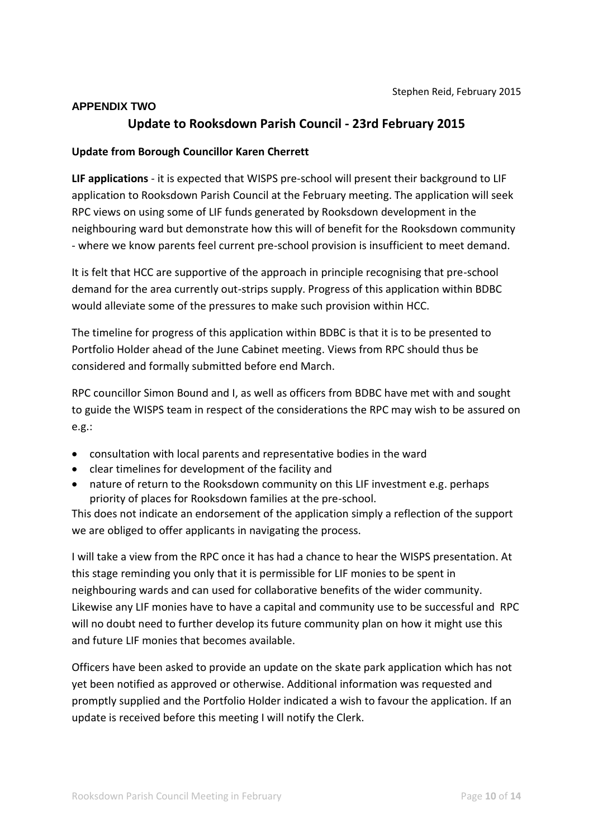### **APPENDIX TWO**

# **Update to Rooksdown Parish Council - 23rd February 2015**

### **Update from Borough Councillor Karen Cherrett**

**LIF applications** - it is expected that WISPS pre-school will present their background to LIF application to Rooksdown Parish Council at the February meeting. The application will seek RPC views on using some of LIF funds generated by Rooksdown development in the neighbouring ward but demonstrate how this will of benefit for the Rooksdown community - where we know parents feel current pre-school provision is insufficient to meet demand.

It is felt that HCC are supportive of the approach in principle recognising that pre-school demand for the area currently out-strips supply. Progress of this application within BDBC would alleviate some of the pressures to make such provision within HCC.

The timeline for progress of this application within BDBC is that it is to be presented to Portfolio Holder ahead of the June Cabinet meeting. Views from RPC should thus be considered and formally submitted before end March.

RPC councillor Simon Bound and I, as well as officers from BDBC have met with and sought to guide the WISPS team in respect of the considerations the RPC may wish to be assured on e.g.:

- consultation with local parents and representative bodies in the ward
- clear timelines for development of the facility and
- nature of return to the Rooksdown community on this LIF investment e.g. perhaps priority of places for Rooksdown families at the pre-school.

This does not indicate an endorsement of the application simply a reflection of the support we are obliged to offer applicants in navigating the process.

I will take a view from the RPC once it has had a chance to hear the WISPS presentation. At this stage reminding you only that it is permissible for LIF monies to be spent in neighbouring wards and can used for collaborative benefits of the wider community. Likewise any LIF monies have to have a capital and community use to be successful and RPC will no doubt need to further develop its future community plan on how it might use this and future LIF monies that becomes available.

Officers have been asked to provide an update on the skate park application which has not yet been notified as approved or otherwise. Additional information was requested and promptly supplied and the Portfolio Holder indicated a wish to favour the application. If an update is received before this meeting I will notify the Clerk.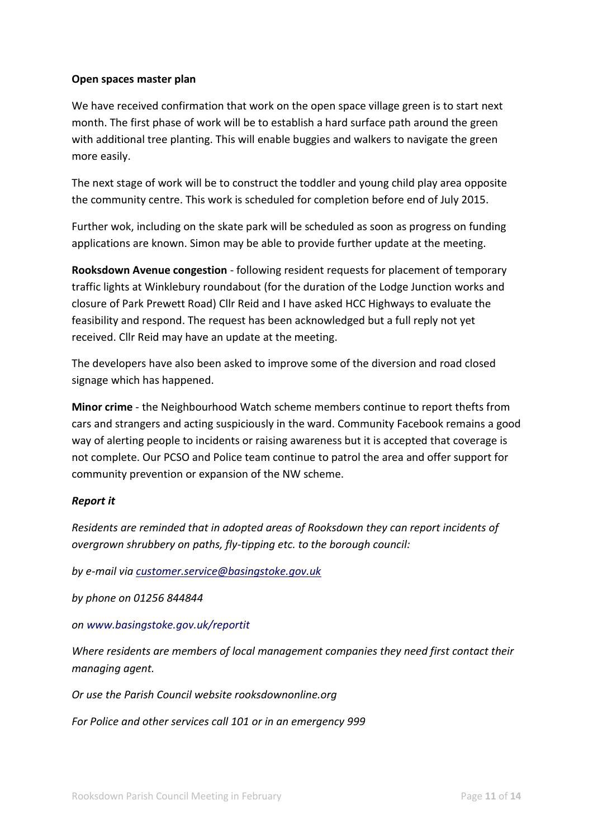## **Open spaces master plan**

We have received confirmation that work on the open space village green is to start next month. The first phase of work will be to establish a hard surface path around the green with additional tree planting. This will enable buggies and walkers to navigate the green more easily.

The next stage of work will be to construct the toddler and young child play area opposite the community centre. This work is scheduled for completion before end of July 2015.

Further wok, including on the skate park will be scheduled as soon as progress on funding applications are known. Simon may be able to provide further update at the meeting.

**Rooksdown Avenue congestion** - following resident requests for placement of temporary traffic lights at Winklebury roundabout (for the duration of the Lodge Junction works and closure of Park Prewett Road) Cllr Reid and I have asked HCC Highways to evaluate the feasibility and respond. The request has been acknowledged but a full reply not yet received. Cllr Reid may have an update at the meeting.

The developers have also been asked to improve some of the diversion and road closed signage which has happened.

**Minor crime** - the Neighbourhood Watch scheme members continue to report thefts from cars and strangers and acting suspiciously in the ward. Community Facebook remains a good way of alerting people to incidents or raising awareness but it is accepted that coverage is not complete. Our PCSO and Police team continue to patrol the area and offer support for community prevention or expansion of the NW scheme.

# *Report it*

*Residents are reminded that in adopted areas of Rooksdown they can report incidents of overgrown shrubbery on paths, fly-tipping etc. to the borough council:*

*by e-mail via customer.service@basingstoke.gov.uk*

*by phone on 01256 844844*

*on www.basingstoke.gov.uk/reportit*

*Where residents are members of local management companies they need first contact their managing agent.*

*Or use the Parish Council website rooksdownonline.org* 

*For Police and other services call 101 or in an emergency 999*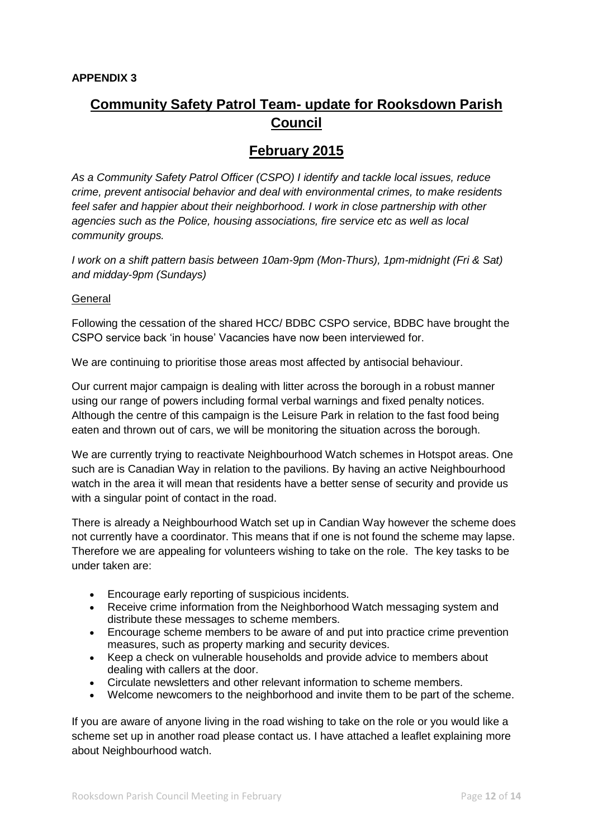# **Community Safety Patrol Team- update for Rooksdown Parish Council**

# **February 2015**

*As a Community Safety Patrol Officer (CSPO) I identify and tackle local issues, reduce crime, prevent antisocial behavior and deal with environmental crimes, to make residents feel safer and happier about their neighborhood. I work in close partnership with other agencies such as the Police, housing associations, fire service etc as well as local community groups.* 

*I work on a shift pattern basis between 10am-9pm (Mon-Thurs), 1pm-midnight (Fri & Sat) and midday-9pm (Sundays)*

### General

Following the cessation of the shared HCC/ BDBC CSPO service, BDBC have brought the CSPO service back 'in house' Vacancies have now been interviewed for.

We are continuing to prioritise those areas most affected by antisocial behaviour.

Our current major campaign is dealing with litter across the borough in a robust manner using our range of powers including formal verbal warnings and fixed penalty notices. Although the centre of this campaign is the Leisure Park in relation to the fast food being eaten and thrown out of cars, we will be monitoring the situation across the borough.

We are currently trying to reactivate Neighbourhood Watch schemes in Hotspot areas. One such are is Canadian Way in relation to the pavilions. By having an active Neighbourhood watch in the area it will mean that residents have a better sense of security and provide us with a singular point of contact in the road.

There is already a Neighbourhood Watch set up in Candian Way however the scheme does not currently have a coordinator. This means that if one is not found the scheme may lapse. Therefore we are appealing for volunteers wishing to take on the role. The key tasks to be under taken are:

- Encourage early reporting of suspicious incidents.
- Receive crime information from the Neighborhood Watch messaging system and distribute these messages to scheme members.
- Encourage scheme members to be aware of and put into practice crime prevention measures, such as property marking and security devices.
- Keep a check on vulnerable households and provide advice to members about dealing with callers at the door.
- Circulate newsletters and other relevant information to scheme members.
- Welcome newcomers to the neighborhood and invite them to be part of the scheme.

If you are aware of anyone living in the road wishing to take on the role or you would like a scheme set up in another road please contact us. I have attached a leaflet explaining more about Neighbourhood watch.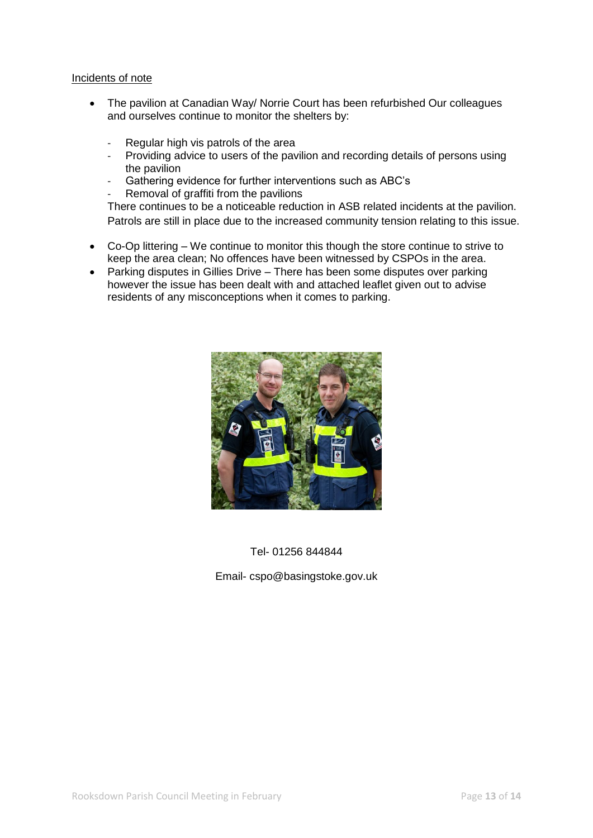#### Incidents of note

- The pavilion at Canadian Way/ Norrie Court has been refurbished Our colleagues and ourselves continue to monitor the shelters by:
	- Regular high vis patrols of the area
	- Providing advice to users of the pavilion and recording details of persons using the pavilion
	- Gathering evidence for further interventions such as ABC's
	- Removal of graffiti from the pavilions

There continues to be a noticeable reduction in ASB related incidents at the pavilion. Patrols are still in place due to the increased community tension relating to this issue.

- Co-Op littering We continue to monitor this though the store continue to strive to keep the area clean; No offences have been witnessed by CSPOs in the area.
- Parking disputes in Gillies Drive There has been some disputes over parking however the issue has been dealt with and attached leaflet given out to advise residents of any misconceptions when it comes to parking.



## Tel- 01256 844844

### Email- cspo@basingstoke.gov.uk